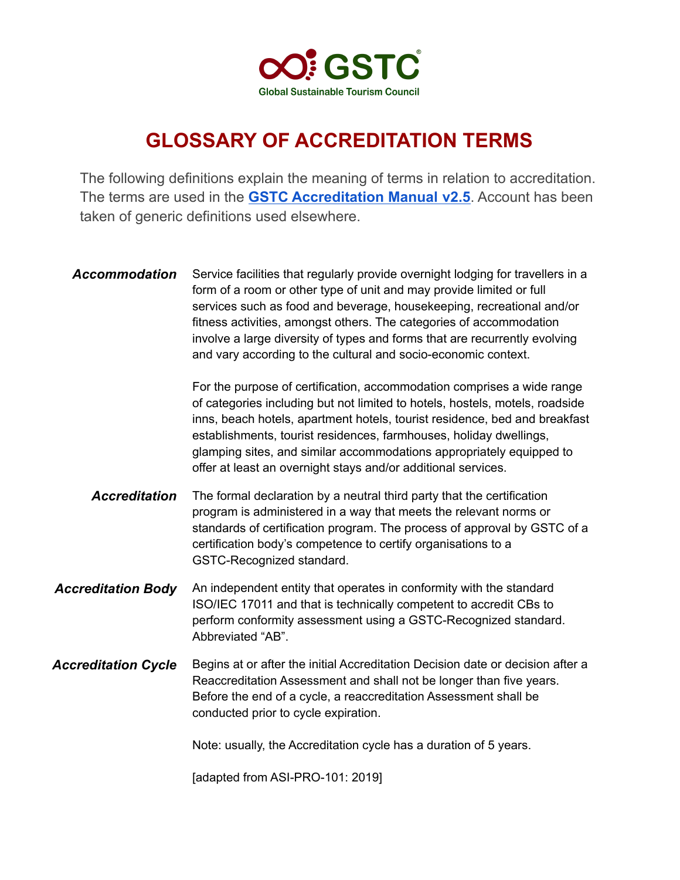

## **GLOSSARY OF ACCREDITATION TERMS**

The following definitions explain the meaning of terms in relation to accreditation. The terms are used in the **GSTC [Accreditation](https://www.gstcouncil.org/wp-content/uploads/GSTC-Accreditation-Manual-HATO-v2.5-April-2021.pdf) Manual v2.5**. Account has been taken of generic definitions used elsewhere.

Accommodation Service facilities that regularly provide overnight lodging for travellers in a form of a room or other type of unit and may provide limited or full services such as food and beverage, housekeeping, recreational and/or fitness activities, amongst others. The categories of accommodation involve a large diversity of types and forms that are recurrently evolving and vary according to the cultural and socio-economic context.

> For the purpose of certification, accommodation comprises a wide range of categories including but not limited to hotels, hostels, motels, roadside inns, beach hotels, apartment hotels, tourist residence, bed and breakfast establishments, tourist residences, farmhouses, holiday dwellings, glamping sites, and similar accommodations appropriately equipped to offer at least an overnight stays and/or additional services.

- *Accreditation* The formal declaration by a neutral third party that the certification program is administered in a way that meets the relevant norms or standards of certification program. The process of approval by GSTC of a certification body's competence to certify organisations to a GSTC-Recognized standard.
- **Accreditation Body** An independent entity that operates in conformity with the standard ISO/IEC 17011 and that is technically competent to accredit CBs to perform conformity assessment using a GSTC-Recognized standard. Abbreviated "AB".
- *Accreditation Cycle* Begins at or after the initial Accreditation Decision date or decision after a Reaccreditation Assessment and shall not be longer than five years. Before the end of a cycle, a reaccreditation Assessment shall be conducted prior to cycle expiration.

Note: usually, the Accreditation cycle has a duration of 5 years.

[adapted from ASI-PRO-101: 2019]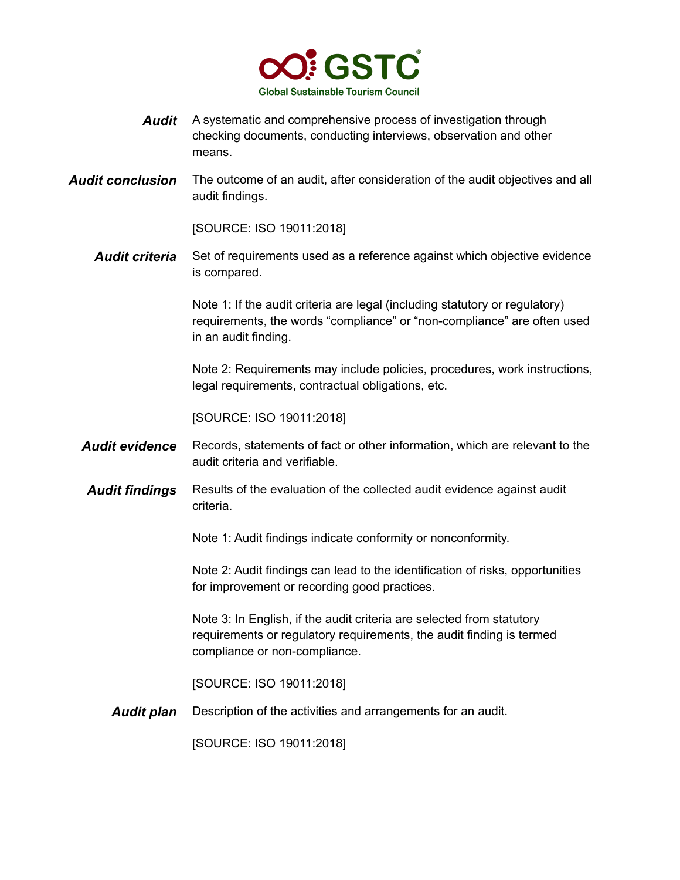

- *Audit* A systematic and comprehensive process of investigation through checking documents, conducting interviews, observation and other means.
- **Audit conclusion** The outcome of an audit, after consideration of the audit objectives and all audit findings.

[SOURCE: ISO 19011:2018]

**Audit criteria** Set of requirements used as a reference against which objective evidence is compared.

> Note 1: If the audit criteria are legal (including statutory or regulatory) requirements, the words "compliance" or "non-compliance" are often used in an audit finding.

> Note 2: Requirements may include policies, procedures, work instructions, legal requirements, contractual obligations, etc.

[SOURCE: ISO 19011:2018]

- *Audit evidence* Records, statements of fact or other information, which are relevant to the audit criteria and verifiable.
- *Audit findings* Results of the evaluation of the collected audit evidence against audit criteria.

Note 1: Audit findings indicate conformity or nonconformity.

Note 2: Audit findings can lead to the identification of risks, opportunities for improvement or recording good practices.

Note 3: In English, if the audit criteria are selected from statutory requirements or regulatory requirements, the audit finding is termed compliance or non-compliance.

[SOURCE: ISO 19011:2018]

*Audit plan* Description of the activities and arrangements for an audit.

[SOURCE: ISO 19011:2018]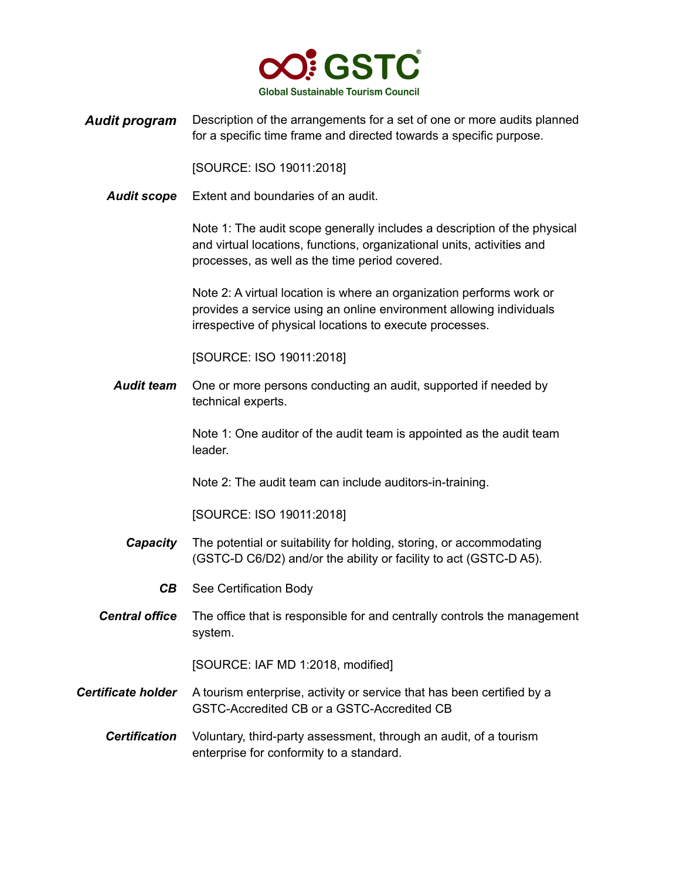

*Audit program* Description of the arrangements for a set of one or more audits planned for a specific time frame and directed towards a specific purpose.

[SOURCE: ISO 19011:2018]

*Audit scope* Extent and boundaries of an audit.

Note 1: The audit scope generally includes a description of the physical and virtual locations, functions, organizational units, activities and processes, as well as the time period covered.

Note 2: A virtual location is where an organization performs work or provides a service using an online environment allowing individuals irrespective of physical locations to execute processes.

[SOURCE: ISO 19011:2018]

*Audit team* One or more persons conducting an audit, supported if needed by technical experts.

> Note 1: One auditor of the audit team is appointed as the audit team leader.

Note 2: The audit team can include auditors-in-training.

[SOURCE: ISO 19011:2018]

- *Capacity* The potential or suitability for holding, storing, or accommodating (GSTC-D C6/D2) and/or the ability or facility to act (GSTC-D A5).
	- *CB* See Certification Body
- *Central office* The office that is responsible for and centrally controls the management system.

[SOURCE: IAF MD 1:2018, modified]

- **Certificate holder** A tourism enterprise, activity or service that has been certified by a GSTC-Accredited CB or a GSTC-Accredited CB
	- *Certification* Voluntary, third-party assessment, through an audit, of a tourism enterprise for conformity to a standard.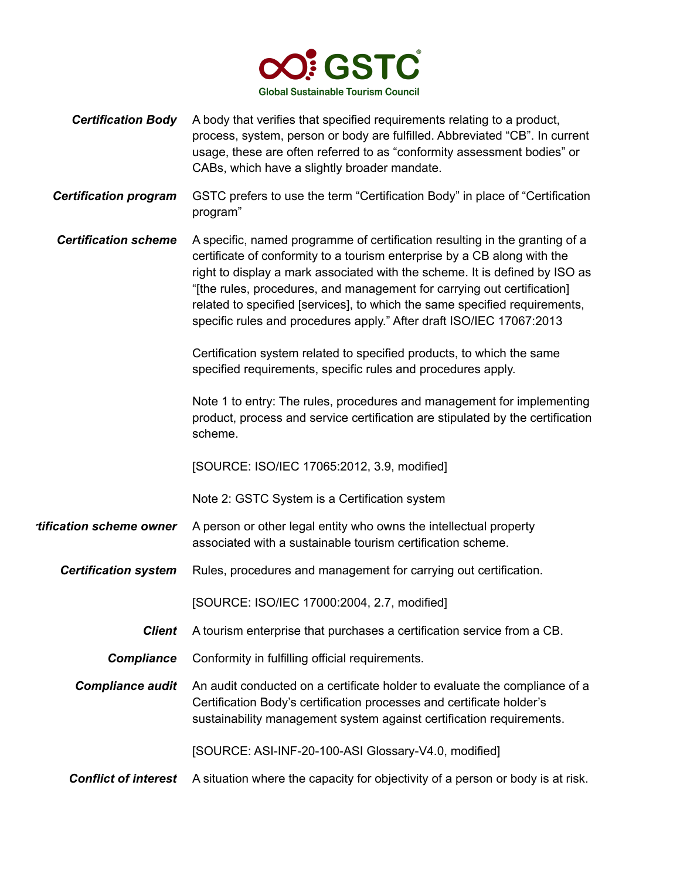

- **Certification Body** A body that verifies that specified requirements relating to a product, process, system, person or body are fulfilled. Abbreviated "CB". In current usage, these are often referred to as "conformity assessment bodies" or CABs, which have a slightly broader mandate.
- *Certification program* GSTC prefers to use the term "Certification Body" in place of "Certification program"
- *Certification scheme* A specific, named programme of certification resulting in the granting of a certificate of conformity to a tourism enterprise by a CB along with the right to display a mark associated with the scheme. It is defined by ISO as "[the rules, procedures, and management for carrying out certification] related to specified [services], to which the same specified requirements, specific rules and procedures apply." After draft ISO/IEC 17067:2013

Certification system related to specified products, to which the same specified requirements, specific rules and procedures apply.

Note 1 to entry: The rules, procedures and management for implementing product, process and service certification are stipulated by the certification scheme.

[SOURCE: ISO/IEC 17065:2012, 3.9, modified]

Note 2: GSTC System is a Certification system

- *rtification scheme owner* A person or other legal entity who owns the intellectual property associated with a sustainable tourism certification scheme.
	- **Certification system** Rules, procedures and management for carrying out certification.

[SOURCE: ISO/IEC 17000:2004, 2.7, modified]

- *Client* A tourism enterprise that purchases a certification service from a CB.
- **Compliance** Conformity in fulfilling official requirements.

*Compliance audit* An audit conducted on a certificate holder to evaluate the compliance of a Certification Body's certification processes and certificate holder's sustainability management system against certification requirements.

[SOURCE: ASI-INF-20-100-ASI Glossary-V4.0, modified]

*Conflict of interest* A situation where the capacity for objectivity of a person or body is at risk.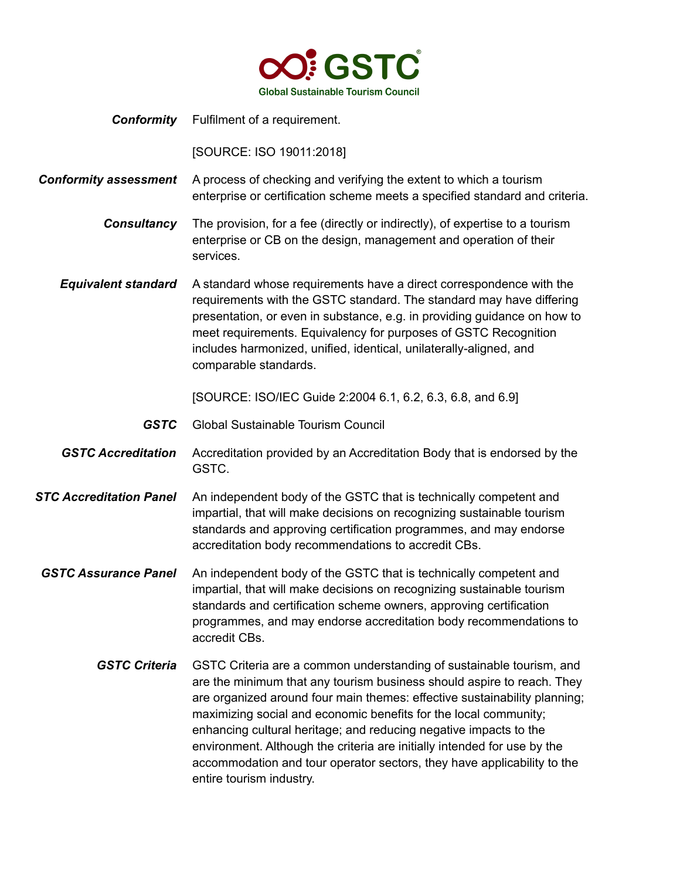

*Conformity* Fulfilment of a requirement.

[SOURCE: ISO 19011:2018]

*Conformity assessment* A process of checking and verifying the extent to which a tourism enterprise or certification scheme meets a specified standard and criteria.

> *Consultancy* The provision, for a fee (directly or indirectly), of expertise to a tourism enterprise or CB on the design, management and operation of their services.

*Equivalent standard* A standard whose requirements have a direct correspondence with the requirements with the GSTC standard. The standard may have differing presentation, or even in substance, e.g. in providing guidance on how to meet requirements. Equivalency for purposes of GSTC Recognition includes harmonized, unified, identical, unilaterally-aligned, and comparable standards.

[SOURCE: ISO/IEC Guide 2:2004 6.1, 6.2, 6.3, 6.8, and 6.9]

- *GSTC* Global Sustainable Tourism Council
- *GSTC Accreditation* Accreditation provided by an Accreditation Body that is endorsed by the GSTC.
- *STC Accreditation Panel* An independent body of the GSTC that is technically competent and impartial, that will make decisions on recognizing sustainable tourism standards and approving certification programmes, and may endorse accreditation body recommendations to accredit CBs.
- *GSTC Assurance Panel* An independent body of the GSTC that is technically competent and impartial, that will make decisions on recognizing sustainable tourism standards and certification scheme owners, approving certification programmes, and may endorse accreditation body recommendations to accredit CBs.
	- *GSTC Criteria* GSTC Criteria are a common understanding of sustainable tourism, and are the minimum that any tourism business should aspire to reach. They are organized around four main themes: effective sustainability planning; maximizing social and economic benefits for the local community; enhancing cultural heritage; and reducing negative impacts to the environment. Although the criteria are initially intended for use by the accommodation and tour operator sectors, they have applicability to the entire tourism industry.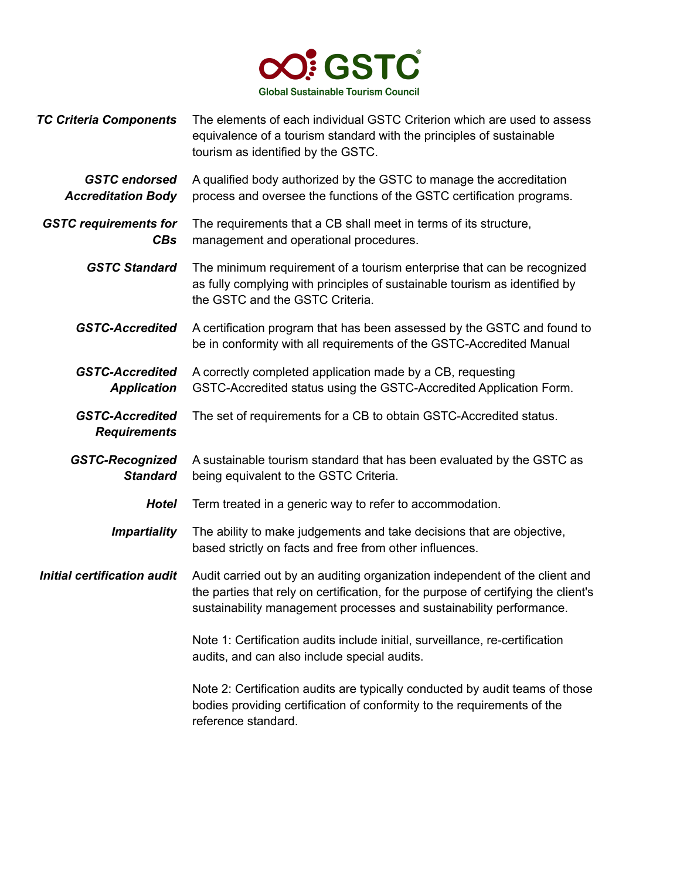

| <b>TC Criteria Components</b>                     | The elements of each individual GSTC Criterion which are used to assess<br>equivalence of a tourism standard with the principles of sustainable<br>tourism as identified by the GSTC.                                                    |
|---------------------------------------------------|------------------------------------------------------------------------------------------------------------------------------------------------------------------------------------------------------------------------------------------|
| <b>GSTC</b> endorsed<br><b>Accreditation Body</b> | A qualified body authorized by the GSTC to manage the accreditation<br>process and oversee the functions of the GSTC certification programs.                                                                                             |
| <b>GSTC requirements for</b><br><b>CBs</b>        | The requirements that a CB shall meet in terms of its structure,<br>management and operational procedures.                                                                                                                               |
| <b>GSTC Standard</b>                              | The minimum requirement of a tourism enterprise that can be recognized<br>as fully complying with principles of sustainable tourism as identified by<br>the GSTC and the GSTC Criteria.                                                  |
| <b>GSTC-Accredited</b>                            | A certification program that has been assessed by the GSTC and found to<br>be in conformity with all requirements of the GSTC-Accredited Manual                                                                                          |
| <b>GSTC-Accredited</b><br><b>Application</b>      | A correctly completed application made by a CB, requesting<br>GSTC-Accredited status using the GSTC-Accredited Application Form.                                                                                                         |
| <b>GSTC-Accredited</b><br><b>Requirements</b>     | The set of requirements for a CB to obtain GSTC-Accredited status.                                                                                                                                                                       |
| <b>GSTC-Recognized</b><br><b>Standard</b>         | A sustainable tourism standard that has been evaluated by the GSTC as<br>being equivalent to the GSTC Criteria.                                                                                                                          |
| <b>Hotel</b>                                      | Term treated in a generic way to refer to accommodation.                                                                                                                                                                                 |
| <b>Impartiality</b>                               | The ability to make judgements and take decisions that are objective,<br>based strictly on facts and free from other influences.                                                                                                         |
| <b>Initial certification audit</b>                | Audit carried out by an auditing organization independent of the client and<br>the parties that rely on certification, for the purpose of certifying the client's<br>sustainability management processes and sustainability performance. |
|                                                   | Note 1: Certification audits include initial, surveillance, re-certification<br>audits, and can also include special audits.                                                                                                             |
|                                                   | Note 2: Certification audits are typically conducted by audit teams of those<br>bodies providing certification of conformity to the requirements of the<br>reference standard.                                                           |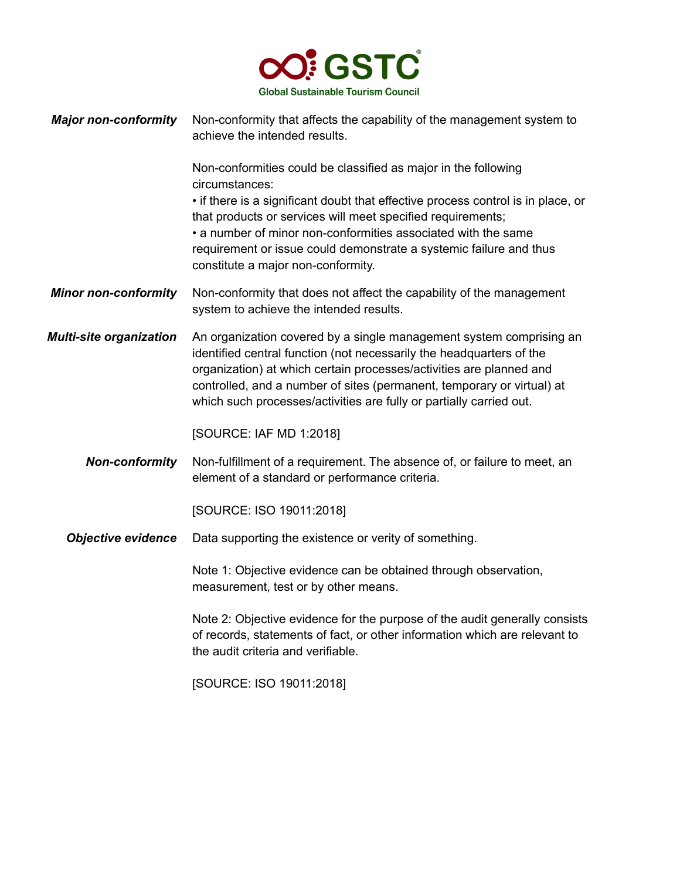

| <b>Major non-conformity</b> Non-conformity that affects the capability of the management system to |
|----------------------------------------------------------------------------------------------------|
| achieve the intended results.                                                                      |

Non-conformities could be classified as major in the following circumstances:

• if there is a significant doubt that effective process control is in place, or that products or services will meet specified requirements;

• a number of minor non-conformities associated with the same requirement or issue could demonstrate a systemic failure and thus constitute a major non-conformity.

- **Minor non-conformity** Non-conformity that does not affect the capability of the management system to achieve the intended results.
- *Multi-site organization* An organization covered by a single management system comprising an identified central function (not necessarily the headquarters of the organization) at which certain processes/activities are planned and controlled, and a number of sites (permanent, temporary or virtual) at which such processes/activities are fully or partially carried out.

[SOURCE: IAF MD 1:2018]

*Non-conformity* Non-fulfillment of a requirement. The absence of, or failure to meet, an element of a standard or performance criteria.

[SOURCE: ISO 19011:2018]

*Objective evidence* Data supporting the existence or verity of something.

Note 1: Objective evidence can be obtained through observation, measurement, test or by other means.

Note 2: Objective evidence for the purpose of the audit generally consists of records, statements of fact, or other information which are relevant to the audit criteria and verifiable.

[SOURCE: ISO 19011:2018]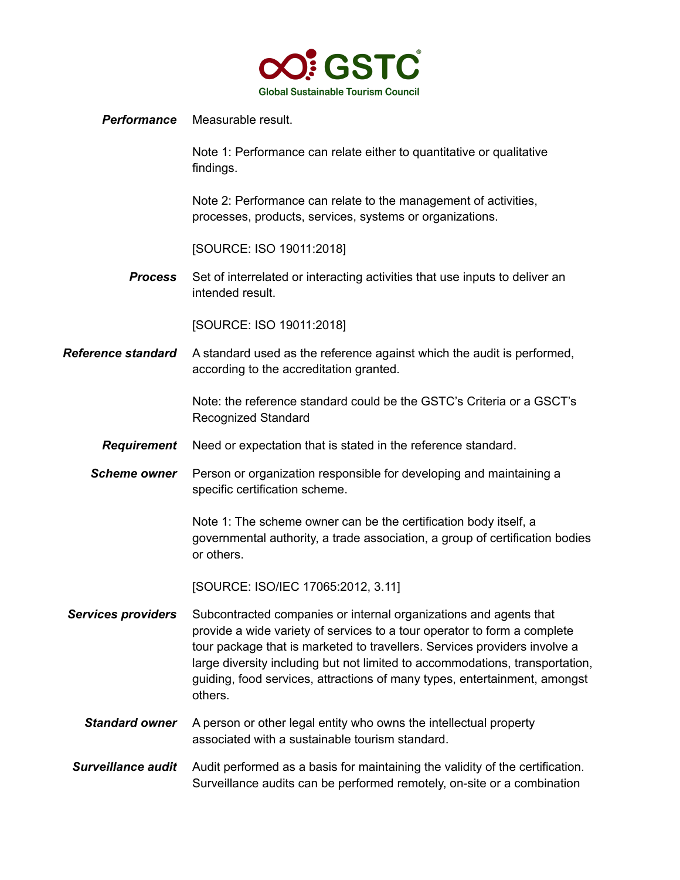

## *Performance* Measurable result.

Note 1: Performance can relate either to quantitative or qualitative findings.

Note 2: Performance can relate to the management of activities, processes, products, services, systems or organizations.

[SOURCE: ISO 19011:2018]

*Process* Set of interrelated or interacting activities that use inputs to deliver an intended result.

[SOURCE: ISO 19011:2018]

**Reference standard** A standard used as the reference against which the audit is performed, according to the accreditation granted.

> Note: the reference standard could be the GSTC's Criteria or a GSCT's Recognized Standard

- *Requirement* Need or expectation that is stated in the reference standard.
- **Scheme owner** Person or organization responsible for developing and maintaining a specific certification scheme.

Note 1: The scheme owner can be the certification body itself, a governmental authority, a trade association, a group of certification bodies or others.

[SOURCE: ISO/IEC 17065:2012, 3.11]

- *Services providers* Subcontracted companies or internal organizations and agents that provide a wide variety of services to a tour operator to form a complete tour package that is marketed to travellers. Services providers involve a large diversity including but not limited to accommodations, transportation, guiding, food services, attractions of many types, entertainment, amongst others.
	- **Standard owner** A person or other legal entity who owns the intellectual property associated with a sustainable tourism standard.
- **Surveillance audit** Audit performed as a basis for maintaining the validity of the certification. Surveillance audits can be performed remotely, on-site or a combination